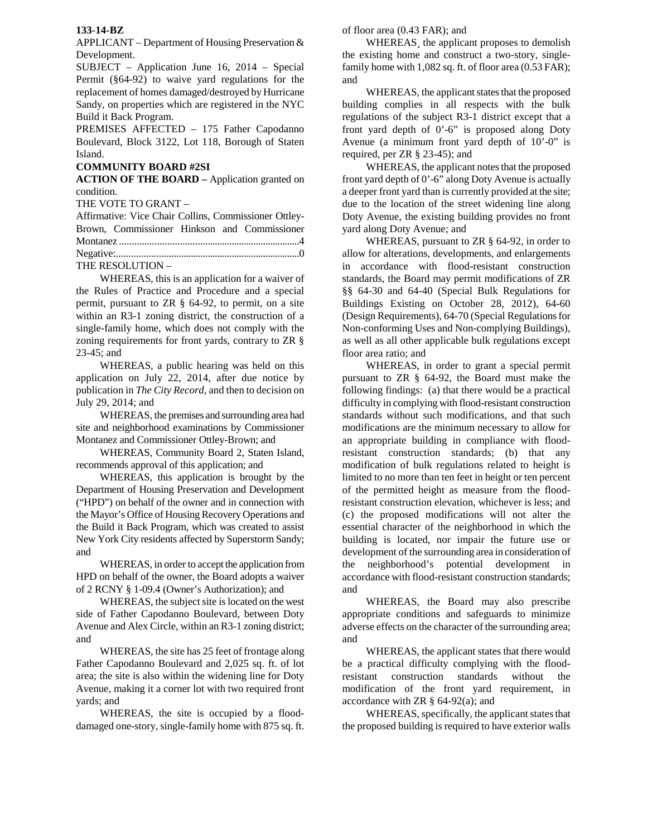## **133-14-BZ**

APPLICANT – Department of Housing Preservation & Development.

SUBJECT – Application June 16, 2014 – Special Permit (§64-92) to waive yard regulations for the replacement of homes damaged/destroyed by Hurricane Sandy, on properties which are registered in the NYC Build it Back Program.

PREMISES AFFECTED – 175 Father Capodanno Boulevard, Block 3122, Lot 118, Borough of Staten Island.

## **COMMUNITY BOARD #2SI**

**ACTION OF THE BOARD –** Application granted on condition.

THE VOTE TO GRANT –

| Affirmative: Vice Chair Collins, Commissioner Ottley- |                                              |  |  |  |  |  |
|-------------------------------------------------------|----------------------------------------------|--|--|--|--|--|
|                                                       | Brown, Commissioner Hinkson and Commissioner |  |  |  |  |  |
|                                                       |                                              |  |  |  |  |  |
|                                                       |                                              |  |  |  |  |  |
|                                                       | THE RESOLUTION -                             |  |  |  |  |  |

 WHEREAS, this is an application for a waiver of the Rules of Practice and Procedure and a special permit, pursuant to ZR § 64-92, to permit, on a site within an R3-1 zoning district, the construction of a single-family home, which does not comply with the zoning requirements for front yards, contrary to ZR § 23-45; and

WHEREAS, a public hearing was held on this application on July 22, 2014, after due notice by publication in *The City Record*, and then to decision on July 29, 2014; and

WHEREAS, the premises and surrounding area had site and neighborhood examinations by Commissioner Montanez and Commissioner Ottley-Brown; and

WHEREAS, Community Board 2, Staten Island, recommends approval of this application; and

WHEREAS, this application is brought by the Department of Housing Preservation and Development ("HPD") on behalf of the owner and in connection with the Mayor's Office of Housing Recovery Operations and the Build it Back Program, which was created to assist New York City residents affected by Superstorm Sandy; and

WHEREAS, in order to accept the application from HPD on behalf of the owner, the Board adopts a waiver of 2 RCNY § 1-09.4 (Owner's Authorization); and

WHEREAS, the subject site is located on the west side of Father Capodanno Boulevard, between Doty Avenue and Alex Circle, within an R3-1 zoning district; and

WHEREAS, the site has 25 feet of frontage along Father Capodanno Boulevard and 2,025 sq. ft. of lot area; the site is also within the widening line for Doty Avenue, making it a corner lot with two required front yards; and

WHEREAS, the site is occupied by a flooddamaged one-story, single-family home with 875 sq. ft. of floor area (0.43 FAR); and

WHEREAS¸ the applicant proposes to demolish the existing home and construct a two-story, singlefamily home with 1,082 sq. ft. of floor area  $(0.53 \text{ FAR})$ ; and

WHEREAS, the applicant states that the proposed building complies in all respects with the bulk regulations of the subject R3-1 district except that a front yard depth of 0'-6" is proposed along Doty Avenue (a minimum front yard depth of 10'-0" is required, per ZR § 23-45); and

WHEREAS, the applicant notes that the proposed front yard depth of 0'-6" along Doty Avenue is actually a deeper front yard than is currently provided at the site; due to the location of the street widening line along Doty Avenue, the existing building provides no front yard along Doty Avenue; and

WHEREAS, pursuant to ZR § 64-92, in order to allow for alterations, developments, and enlargements in accordance with flood-resistant construction standards, the Board may permit modifications of ZR §§ 64-30 and 64-40 (Special Bulk Regulations for Buildings Existing on October 28, 2012), 64-60 (Design Requirements), 64-70 (Special Regulations for Non-conforming Uses and Non-complying Buildings), as well as all other applicable bulk regulations except floor area ratio; and

WHEREAS, in order to grant a special permit pursuant to ZR § 64-92, the Board must make the following findings: (a) that there would be a practical difficulty in complying with flood-resistant construction standards without such modifications, and that such modifications are the minimum necessary to allow for an appropriate building in compliance with floodresistant construction standards; (b) that any modification of bulk regulations related to height is limited to no more than ten feet in height or ten percent of the permitted height as measure from the floodresistant construction elevation, whichever is less; and (c) the proposed modifications will not alter the essential character of the neighborhood in which the building is located, nor impair the future use or development of the surrounding area in consideration of the neighborhood's potential development in accordance with flood-resistant construction standards; and

WHEREAS, the Board may also prescribe appropriate conditions and safeguards to minimize adverse effects on the character of the surrounding area; and

WHEREAS, the applicant states that there would be a practical difficulty complying with the floodresistant construction standards without the modification of the front yard requirement, in accordance with ZR  $\S$  64-92(a); and

 WHEREAS, specifically, the applicant states that the proposed building is required to have exterior walls